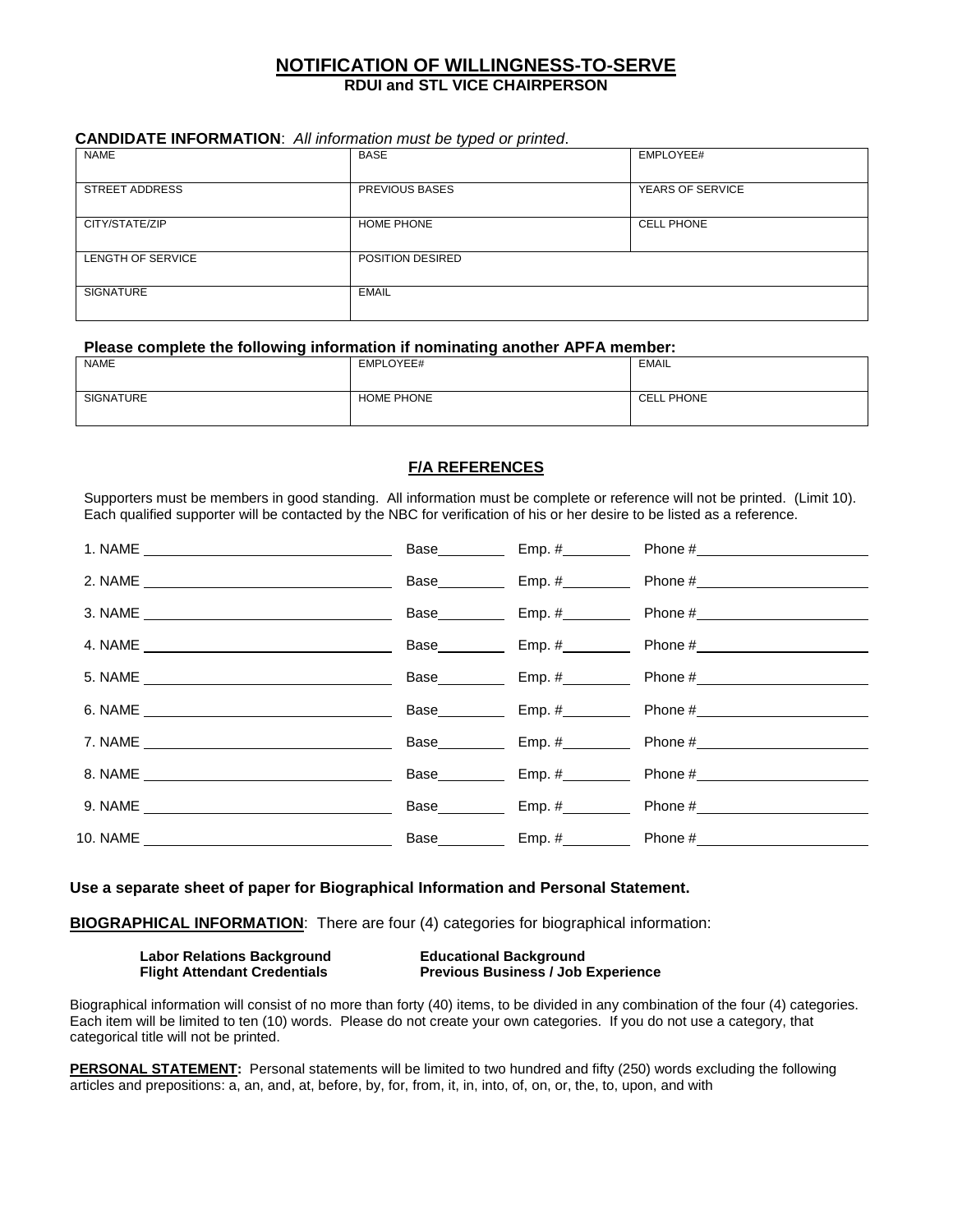## **NOTIFICATION OF WILLINGNESS-TO-SERVE RDUI and STL VICE CHAIRPERSON**

#### **CANDIDATE INFORMATION**: All information must be typed or printed.

| <b>NAME</b>           | . .<br><b>BASE</b> | EMPLOYEE#         |
|-----------------------|--------------------|-------------------|
|                       |                    |                   |
| <b>STREET ADDRESS</b> | PREVIOUS BASES     | YEARS OF SERVICE  |
|                       |                    |                   |
| CITY/STATE/ZIP        | <b>HOME PHONE</b>  | <b>CELL PHONE</b> |
|                       |                    |                   |
| LENGTH OF SERVICE     | POSITION DESIRED   |                   |
|                       |                    |                   |
| <b>SIGNATURE</b>      | <b>EMAIL</b>       |                   |
|                       |                    |                   |

#### Please complete the following information if nominating another APFA member:

| <b>NAME</b>      | EMPLOYEE#         | EMAIL             |
|------------------|-------------------|-------------------|
| <b>SIGNATURE</b> | <b>HOME PHONE</b> | <b>CELL PHONE</b> |

### **F/A REFERENCES**

Supporters must be members in good standing. All information must be complete or reference will not be printed. (Limit 10). Each qualified supporter will be contacted by the NBC for verification of his or her desire to be listed as a reference.

|         | Base_________ |                                                                                                                                                                                                                                |
|---------|---------------|--------------------------------------------------------------------------------------------------------------------------------------------------------------------------------------------------------------------------------|
|         |               | Base Emp. # Phone #                                                                                                                                                                                                            |
| 3. NAME |               | Base Emp. # Phone #                                                                                                                                                                                                            |
|         |               | Base Emp. # Phone # Phone # Phone # Phone # Phone # Phone # Phone # Phone # Phone # Phone # Phone # Phone # Phone # Phone # Phone # Phone # Phone # Phone # Phone # Phone # Phone # Phone # Phone # Phone # Phone # Phone # Ph |
|         |               | Base Emp. # Phone #                                                                                                                                                                                                            |
|         |               |                                                                                                                                                                                                                                |
|         |               | Base Emp. # Phone #                                                                                                                                                                                                            |
|         |               | Base Emp. # Phone #                                                                                                                                                                                                            |
|         |               |                                                                                                                                                                                                                                |
|         |               |                                                                                                                                                                                                                                |
|         |               |                                                                                                                                                                                                                                |

#### **Use a separate sheet of paper for Biographical Information and Personal Statement.**

**BIOGRAPHICAL INFORMATION**: There are four (4) categories for biographical information:

| <b>Labor Relations Background</b>   | <b>Educational Background</b>             |
|-------------------------------------|-------------------------------------------|
| <b>Flight Attendant Credentials</b> | <b>Previous Business / Job Experience</b> |

Biographical information will consist of no more than forty (40) items, to be divided in any combination of the four (4) categories. Each item will be limited to ten (10) words. Please do not create your own categories. If you do not use a category, that categorical title will not be printed.

**PERSONAL STATEMENT:** Personal statements will be limited to two hundred and fifty (250) words excluding the following articles and prepositions: a, an, and, at, before, by, for, from, it, in, into, of, on, or, the, to, upon, and with